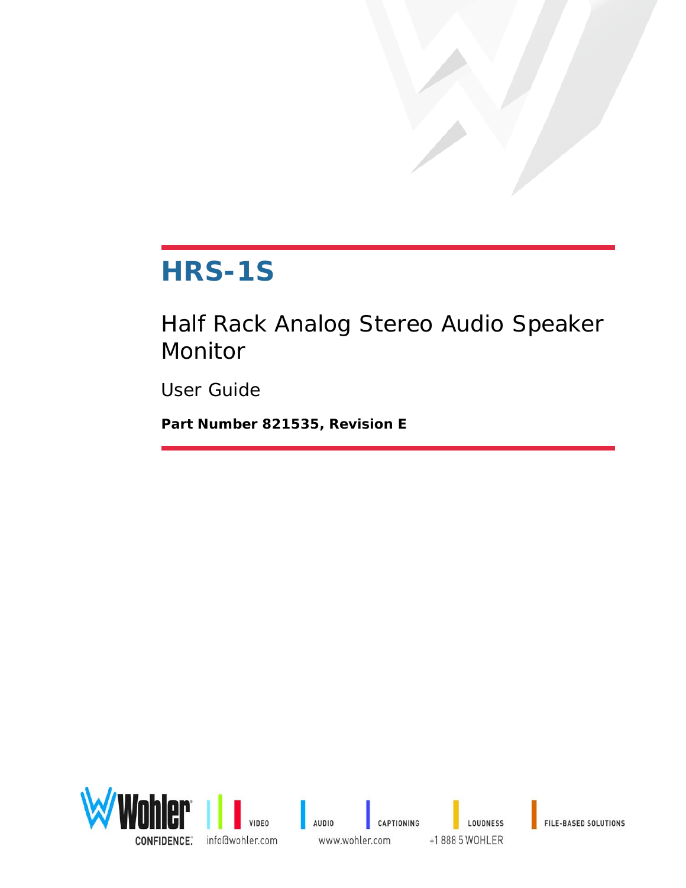## **HRS-1S**

Half Rack Analog Stereo Audio Speaker Monitor

User Guide

**Part Number 821535, Revision E**

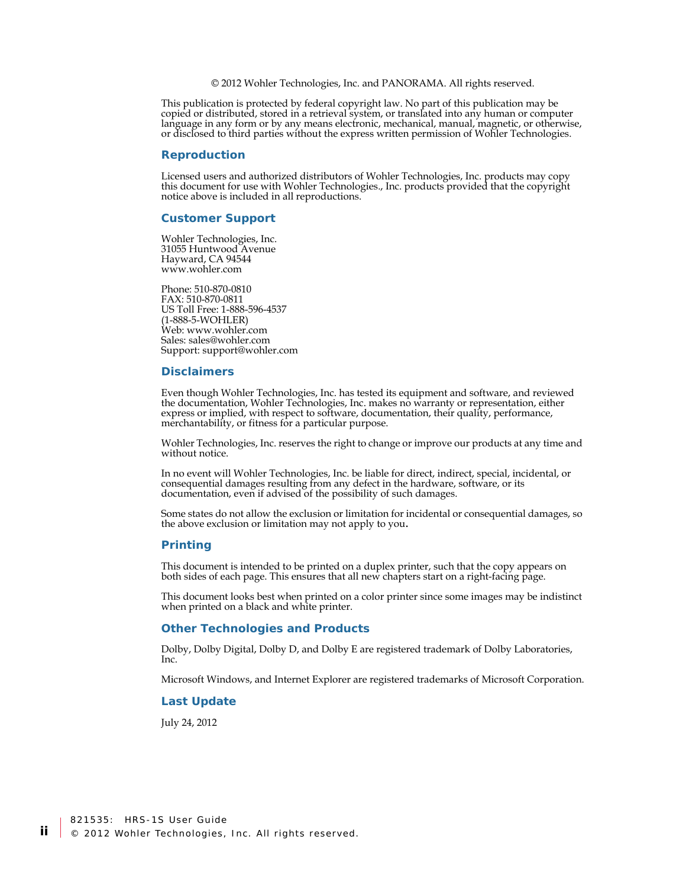© 2012 Wohler Technologies, Inc. and PANORAMA. All rights reserved.

This publication is protected by federal copyright law. No part of this publication may be copied or distributed, stored in a retrieval system, or translated into any human or computer language in any form or by any means electronic, mechanical, manual, magnetic, or otherwise, or disclosed to third parties without the express written permission of Wohler Technologies.

#### **Reproduction**

Licensed users and authorized distributors of Wohler Technologies, Inc. products may copy this document for use with Wohler Technologies., Inc. products provided that the copyright notice above is included in all reproductions.

#### **Customer Support**

Wohler Technologies, Inc. 31055 Huntwood Avenue Hayward, CA 94544 www.wohler.com

Phone: 510-870-0810 FAX: 510-870-0811 US Toll Free: 1-888-596-4537 (1-888-5-WOHLER) Web: www.wohler.com Sales: sales@wohler.com Support: support@wohler.com

#### **Disclaimers**

Even though Wohler Technologies, Inc. has tested its equipment and software, and reviewed the documentation, Wohler Technologies, Inc. makes no warranty or representation, either express or implied, with respect to software, documentation, their quality, performance, merchantability, or fitness for a particular purpose.

Wohler Technologies, Inc. reserves the right to change or improve our products at any time and without notice.

In no event will Wohler Technologies, Inc. be liable for direct, indirect, special, incidental, or consequential damages resulting from any defect in the hardware, software, or its documentation, even if advised of the possibility of such damages.

Some states do not allow the exclusion or limitation for incidental or consequential damages, so the above exclusion or limitation may not apply to you.

#### **Printing**

This document is intended to be printed on a duplex printer, such that the copy appears on both sides of each page. This ensures that all new chapters start on a right-facing page.

This document looks best when printed on a color printer since some images may be indistinct when printed on a black and white printer.

#### **Other Technologies and Products**

Dolby, Dolby Digital, Dolby D, and Dolby E are registered trademark of Dolby Laboratories, Inc.

Microsoft Windows, and Internet Explorer are registered trademarks of Microsoft Corporation.

#### **Last Update**

July 24, 2012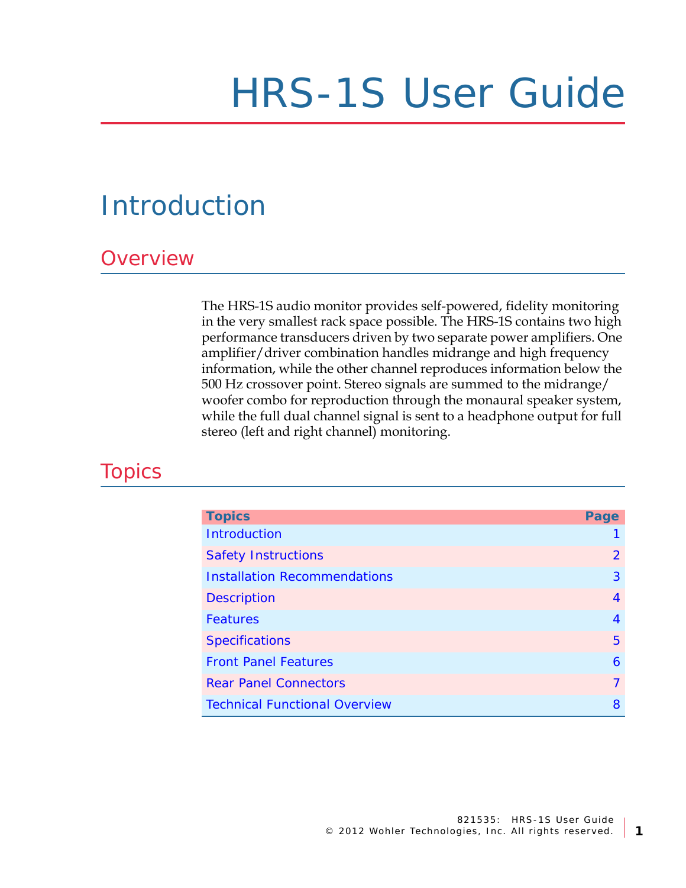# HRS-1S User Guide

## <span id="page-2-0"></span>Introduction

### **Overview**

The HRS-1S audio monitor provides self-powered, fidelity monitoring in the very smallest rack space possible. The HRS-1S contains two high performance transducers driven by two separate power amplifiers. One amplifier/driver combination handles midrange and high frequency information, while the other channel reproduces information below the 500 Hz crossover point. Stereo signals are summed to the midrange/ woofer combo for reproduction through the monaural speaker system, while the full dual channel signal is sent to a headphone output for full stereo (left and right channel) monitoring.

### **Topics**

| <b>Topics</b>                        | Page           |
|--------------------------------------|----------------|
| Introduction                         |                |
| <b>Safety Instructions</b>           | $\overline{2}$ |
| <b>Installation Recommendations</b>  | 3              |
| <b>Description</b>                   | 4              |
| Features                             | 4              |
| <b>Specifications</b>                | 5              |
| <b>Front Panel Features</b>          | 6              |
| <b>Rear Panel Connectors</b>         | $\overline{7}$ |
| <b>Technical Functional Overview</b> | 8              |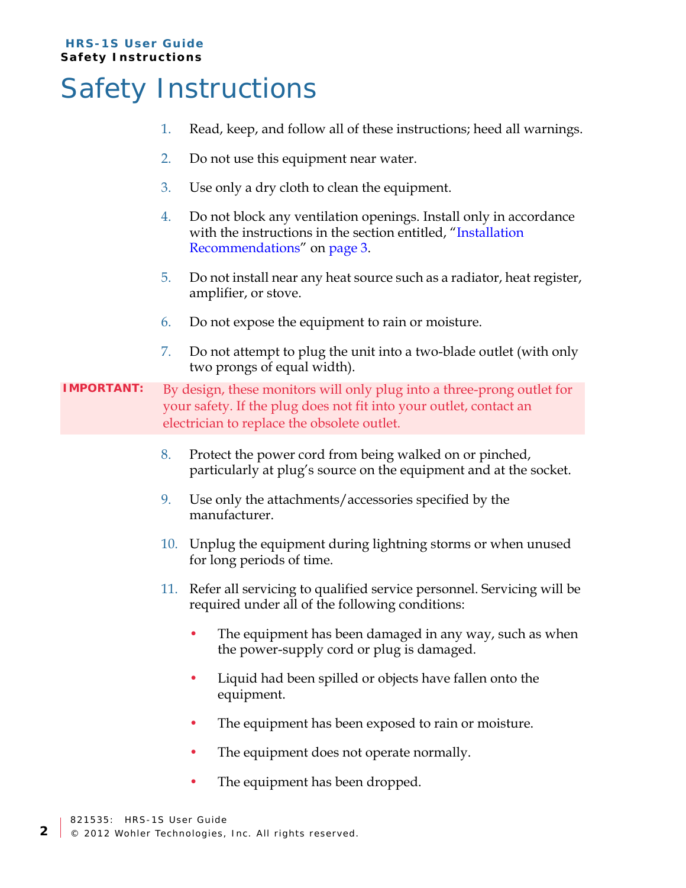## <span id="page-3-0"></span>Safety Instructions

- 1. Read, keep, and follow all of these instructions; heed all warnings.
- 2. Do not use this equipment near water.
- 3. Use only a dry cloth to clean the equipment.
- 4. Do not block any ventilation openings. Install only in accordance with the instructions in the section entitled, "Installation [Recommendations](#page-4-0)" on [page 3](#page-4-0).
- 5. Do not install near any heat source such as a radiator, heat register, amplifier, or stove.
- 6. Do not expose the equipment to rain or moisture.
- 7. Do not attempt to plug the unit into a two-blade outlet (with only two prongs of equal width).

### **IMPORTANT:** By design, these monitors will only plug into a three-prong outlet for your safety. If the plug does not fit into your outlet, contact an electrician to replace the obsolete outlet.

- 8. Protect the power cord from being walked on or pinched, particularly at plug's source on the equipment and at the socket.
- 9. Use only the attachments/accessories specified by the manufacturer.
- 10. Unplug the equipment during lightning storms or when unused for long periods of time.
- 11. Refer all servicing to qualified service personnel. Servicing will be required under all of the following conditions:
	- The equipment has been damaged in any way, such as when the power-supply cord or plug is damaged.
	- Liquid had been spilled or objects have fallen onto the equipment.
	- The equipment has been exposed to rain or moisture.
	- The equipment does not operate normally.
	- The equipment has been dropped.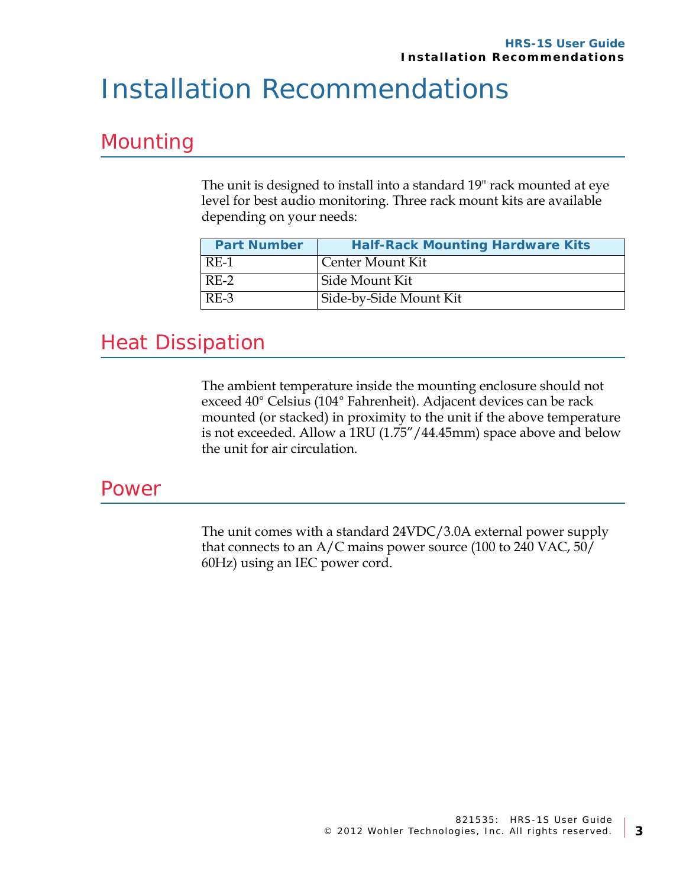## <span id="page-4-0"></span>Installation Recommendations

### Mounting

The unit is designed to install into a standard 19" rack mounted at eye level for best audio monitoring. Three rack mount kits are available depending on your needs:

| <b>Part Number</b> | <b>Half-Rack Mounting Hardware Kits</b> |
|--------------------|-----------------------------------------|
| RE-1               | Center Mount Kit                        |
| $RE-2$             | Side Mount Kit                          |
| $RE-3$             | Side-by-Side Mount Kit                  |

### Heat Dissipation

The ambient temperature inside the mounting enclosure should not exceed 40° Celsius (104° Fahrenheit). Adjacent devices can be rack mounted (or stacked) in proximity to the unit if the above temperature is not exceeded. Allow a 1RU (1.75"/44.45mm) space above and below the unit for air circulation.

### Power

The unit comes with a standard 24VDC/3.0A external power supply that connects to an A/C mains power source (100 to 240 VAC, 50/ 60Hz) using an IEC power cord.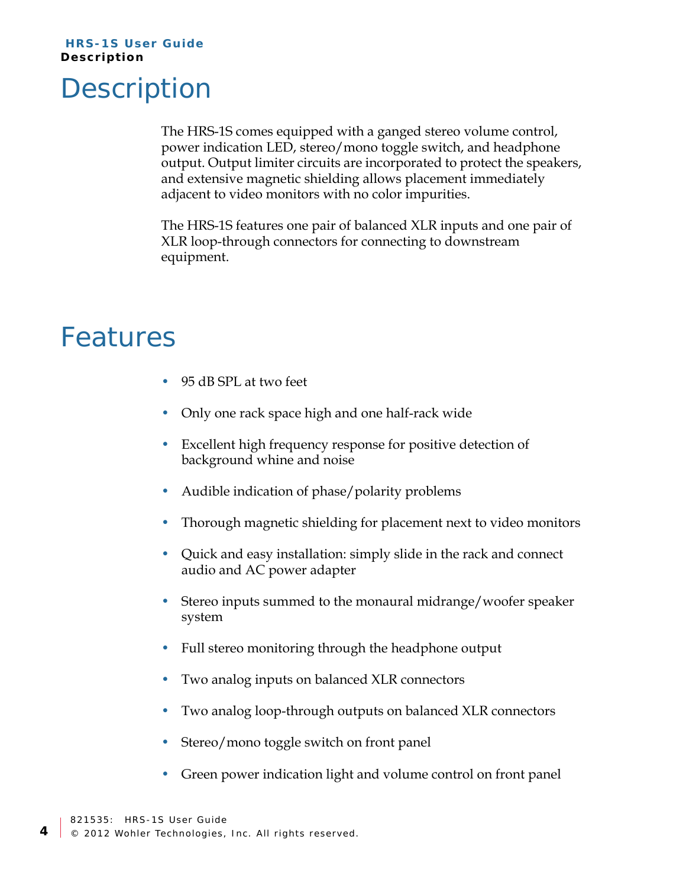## <span id="page-5-0"></span>**Description**

The HRS-1S comes equipped with a ganged stereo volume control, power indication LED, stereo/mono toggle switch, and headphone output. Output limiter circuits are incorporated to protect the speakers, and extensive magnetic shielding allows placement immediately adjacent to video monitors with no color impurities.

The HRS-1S features one pair of balanced XLR inputs and one pair of XLR loop-through connectors for connecting to downstream equipment.

### <span id="page-5-1"></span>Features

- 95 dB SPL at two feet
- Only one rack space high and one half-rack wide
- Excellent high frequency response for positive detection of background whine and noise
- Audible indication of phase/polarity problems
- Thorough magnetic shielding for placement next to video monitors
- Quick and easy installation: simply slide in the rack and connect audio and AC power adapter
- Stereo inputs summed to the monaural midrange/woofer speaker system
- Full stereo monitoring through the headphone output
- Two analog inputs on balanced XLR connectors
- Two analog loop-through outputs on balanced XLR connectors
- Stereo/mono toggle switch on front panel
- Green power indication light and volume control on front panel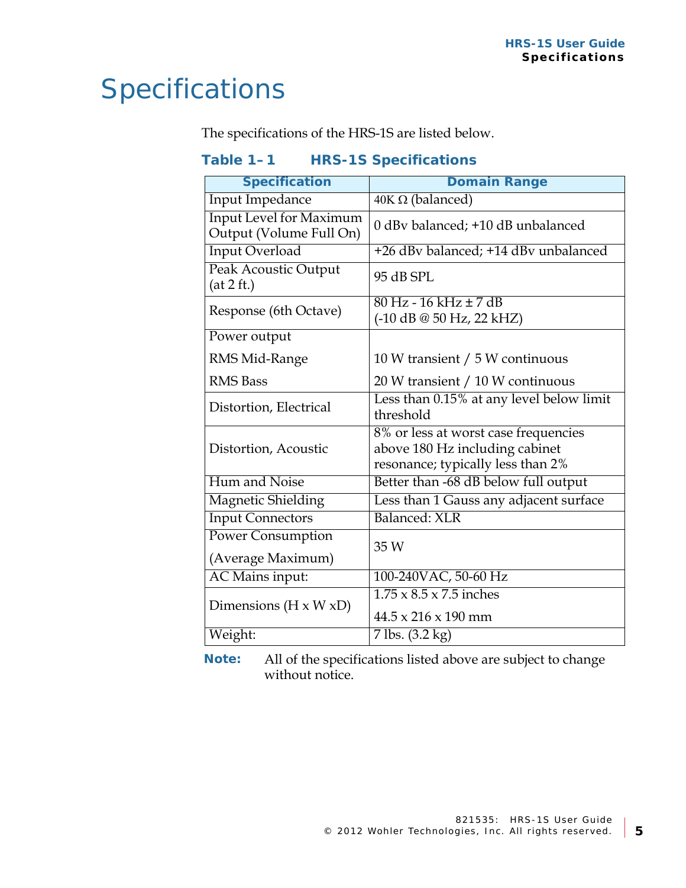## <span id="page-6-0"></span>Specifications

The specifications of the HRS-1S are listed below.

| Table 1-1 | <b>HRS-1S Specifications</b> |
|-----------|------------------------------|
|-----------|------------------------------|

| <b>Specification</b>                                      | <b>Domain Range</b>                                                                                         |  |
|-----------------------------------------------------------|-------------------------------------------------------------------------------------------------------------|--|
| Input Impedance                                           | $40K \Omega$ (balanced)                                                                                     |  |
| <b>Input Level for Maximum</b><br>Output (Volume Full On) | 0 dBy balanced; +10 dB unbalanced                                                                           |  |
| <b>Input Overload</b>                                     | +26 dBv balanced; +14 dBv unbalanced                                                                        |  |
| <b>Peak Acoustic Output</b><br>(at 2 ft.)                 | 95 dB SPL                                                                                                   |  |
| Response (6th Octave)                                     | $80 \text{ Hz} - 16 \text{ kHz} \pm 7 \text{ dB}$<br>$(-10 \text{ dB} \t@ 50 \text{ Hz}, 22 \text{ kHz})$   |  |
| Power output                                              |                                                                                                             |  |
| RMS Mid-Range                                             | 10 W transient / 5 W continuous                                                                             |  |
| <b>RMS</b> Bass                                           | 20 W transient / 10 W continuous                                                                            |  |
| Distortion, Electrical                                    | Less than 0.15% at any level below limit<br>threshold                                                       |  |
| Distortion, Acoustic                                      | 8% or less at worst case frequencies<br>above 180 Hz including cabinet<br>resonance; typically less than 2% |  |
| Hum and Noise                                             | Better than -68 dB below full output                                                                        |  |
| <b>Magnetic Shielding</b>                                 | Less than 1 Gauss any adjacent surface                                                                      |  |
| <b>Input Connectors</b>                                   | Balanced: XLR                                                                                               |  |
| <b>Power Consumption</b>                                  |                                                                                                             |  |
| (Average Maximum)                                         | 35 W                                                                                                        |  |
| <b>AC</b> Mains input:                                    | 100-240VAC, 50-60 Hz                                                                                        |  |
| Dimensions ( $H \times W \times D$ )                      | $1.75 \times 8.5 \times 7.5$ inches                                                                         |  |
|                                                           | $44.5 \times 216 \times 190$ mm                                                                             |  |
| Weight:                                                   | $7$ lbs. $(3.2 \text{ kg})$                                                                                 |  |

**Note:** All of the specifications listed above are subject to change without notice.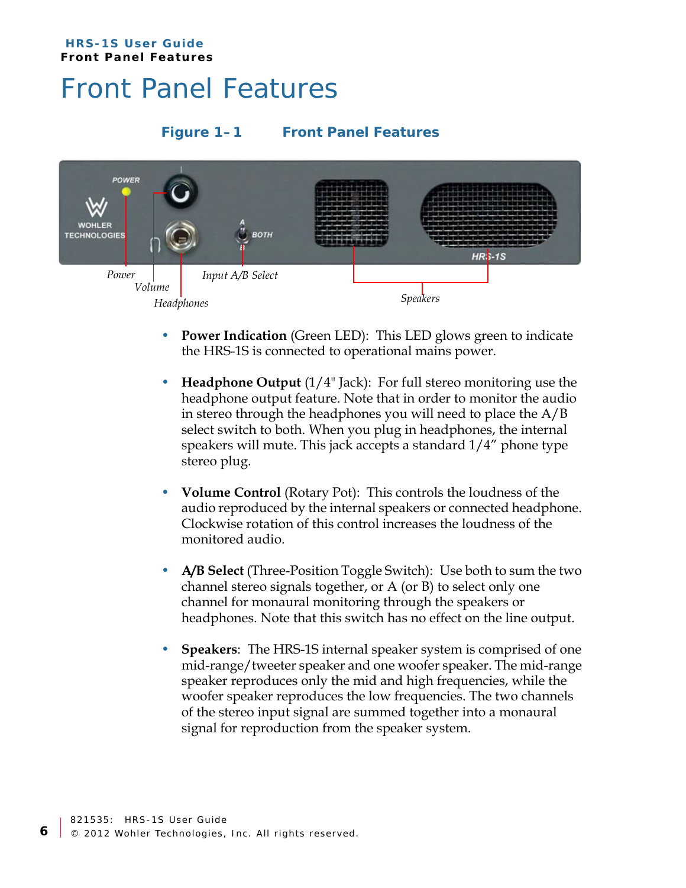#### **HRS-1S User Guide Front Panel Features**

## <span id="page-7-0"></span>Front Panel Features

### **Figure 1–1 Front Panel Features**



- **Power Indication** (Green LED): This LED glows green to indicate the HRS-1S is connected to operational mains power.
- **Headphone Output** (1/4" Jack): For full stereo monitoring use the headphone output feature. Note that in order to monitor the audio in stereo through the headphones you will need to place the A/B select switch to both. When you plug in headphones, the internal speakers will mute. This jack accepts a standard 1/4" phone type stereo plug.
- **Volume Control** (Rotary Pot): This controls the loudness of the audio reproduced by the internal speakers or connected headphone. Clockwise rotation of this control increases the loudness of the monitored audio.
- **A/B Select** (Three-Position Toggle Switch): Use both to sum the two channel stereo signals together, or A (or B) to select only one channel for monaural monitoring through the speakers or headphones. Note that this switch has no effect on the line output.
- **Speakers**: The HRS-1S internal speaker system is comprised of one mid-range/tweeter speaker and one woofer speaker. The mid-range speaker reproduces only the mid and high frequencies, while the woofer speaker reproduces the low frequencies. The two channels of the stereo input signal are summed together into a monaural signal for reproduction from the speaker system.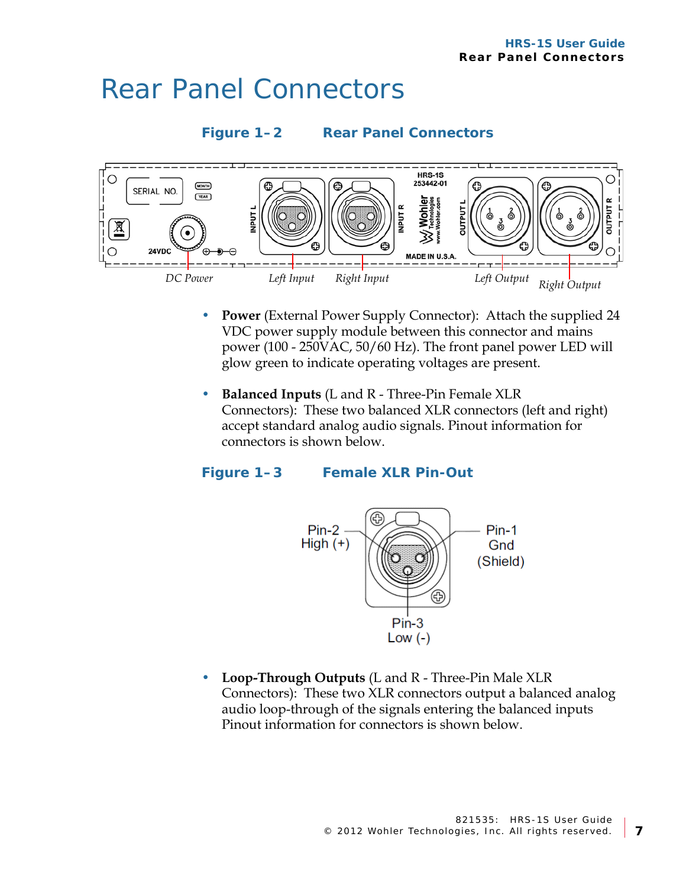### <span id="page-8-0"></span>Rear Panel Connectors





- **Power** (External Power Supply Connector): Attach the supplied 24 VDC power supply module between this connector and mains power (100 - 250VAC, 50/60 Hz). The front panel power LED will glow green to indicate operating voltages are present.
- **Balanced Inputs** (L and R Three-Pin Female XLR Connectors): These two balanced XLR connectors (left and right) accept standard analog audio signals. Pinout information for connectors is shown below.

### **Figure 1–3 Female XLR Pin-Out**



• **Loop-Through Outputs** (L and R - Three-Pin Male XLR Connectors): These two XLR connectors output a balanced analog audio loop-through of the signals entering the balanced inputs Pinout information for connectors is shown below.